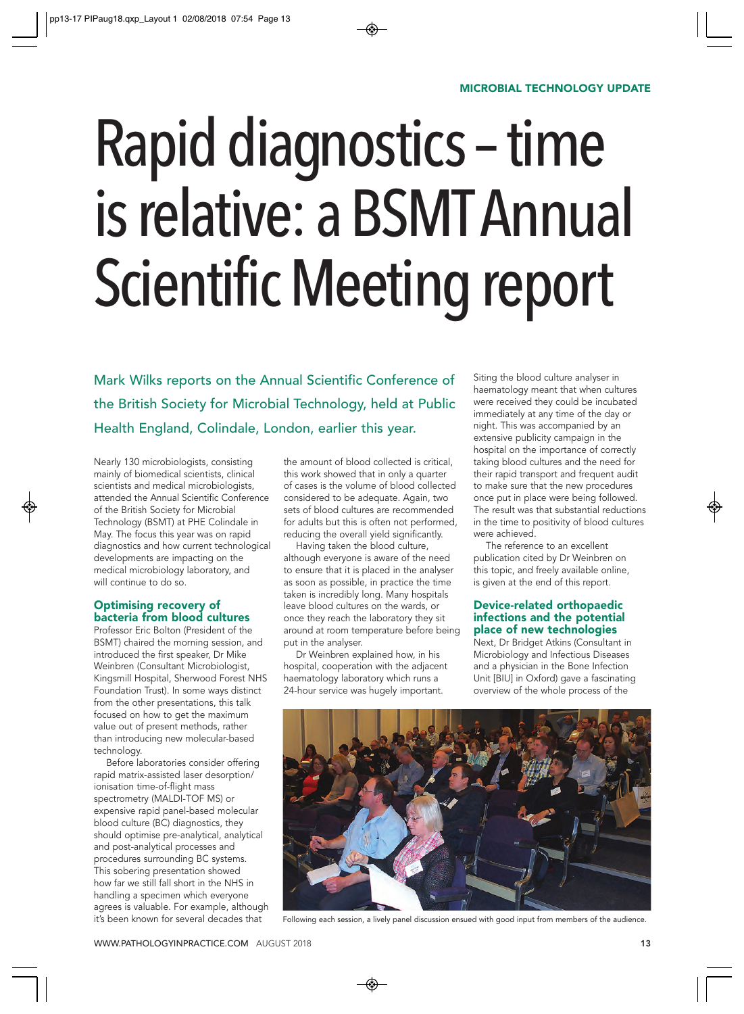# Rapid diagnostics – time is relative: a BSMT Annual Scientific Meeting report

Mark Wilks reports on the Annual Scientific Conference of the British Society for Microbial Technology, held at Public Health England, Colindale, London, earlier this year.

Nearly 130 microbiologists, consisting mainly of biomedical scientists, clinical scientists and medical microbiologists, attended the Annual Scientific Conference of the British Society for Microbial Technology (BSMT) at PHE Colindale in May. The focus this year was on rapid diagnostics and how current technological developments are impacting on the medical microbiology laboratory, and will continue to do so.

# Optimising recovery of bacteria from blood cultures

Professor Eric Bolton (President of the BSMT) chaired the morning session, and introduced the first speaker, Dr Mike Weinbren (Consultant Microbiologist, Kingsmill Hospital, Sherwood Forest NHS Foundation Trust). In some ways distinct from the other presentations, this talk focused on how to get the maximum value out of present methods, rather than introducing new molecular-based technology.

Before laboratories consider offering rapid matrix-assisted laser desorption/ ionisation time-of-flight mass spectrometry (MALDI-TOF MS) or expensive rapid panel-based molecular blood culture (BC) diagnostics, they should optimise pre-analytical, analytical and post-analytical processes and procedures surrounding BC systems. This sobering presentation showed how far we still fall short in the NHS in handling a specimen which everyone agrees is valuable. For example, although it's been known for several decades that

the amount of blood collected is critical, this work showed that in only a quarter of cases is the volume of blood collected considered to be adequate. Again, two sets of blood cultures are recommended for adults but this is often not performed, reducing the overall yield significantly.

Having taken the blood culture, although everyone is aware of the need to ensure that it is placed in the analyser as soon as possible, in practice the time taken is incredibly long. Many hospitals leave blood cultures on the wards, or once they reach the laboratory they sit around at room temperature before being put in the analyser.

Dr Weinbren explained how, in his hospital, cooperation with the adjacent haematology laboratory which runs a 24-hour service was hugely important.

Siting the blood culture analyser in haematology meant that when cultures were received they could be incubated immediately at any time of the day or night. This was accompanied by an extensive publicity campaign in the hospital on the importance of correctly taking blood cultures and the need for their rapid transport and frequent audit to make sure that the new procedures once put in place were being followed. The result was that substantial reductions in the time to positivity of blood cultures were achieved.

The reference to an excellent publication cited by Dr Weinbren on this topic, and freely available online, is given at the end of this report.

# Device-related orthopaedic infections and the potential place of new technologies

Next, Dr Bridget Atkins (Consultant in Microbiology and Infectious Diseases and a physician in the Bone Infection Unit [BIU] in Oxford) gave a fascinating overview of the whole process of the



Following each session, a lively panel discussion ensued with good input from members of the audience.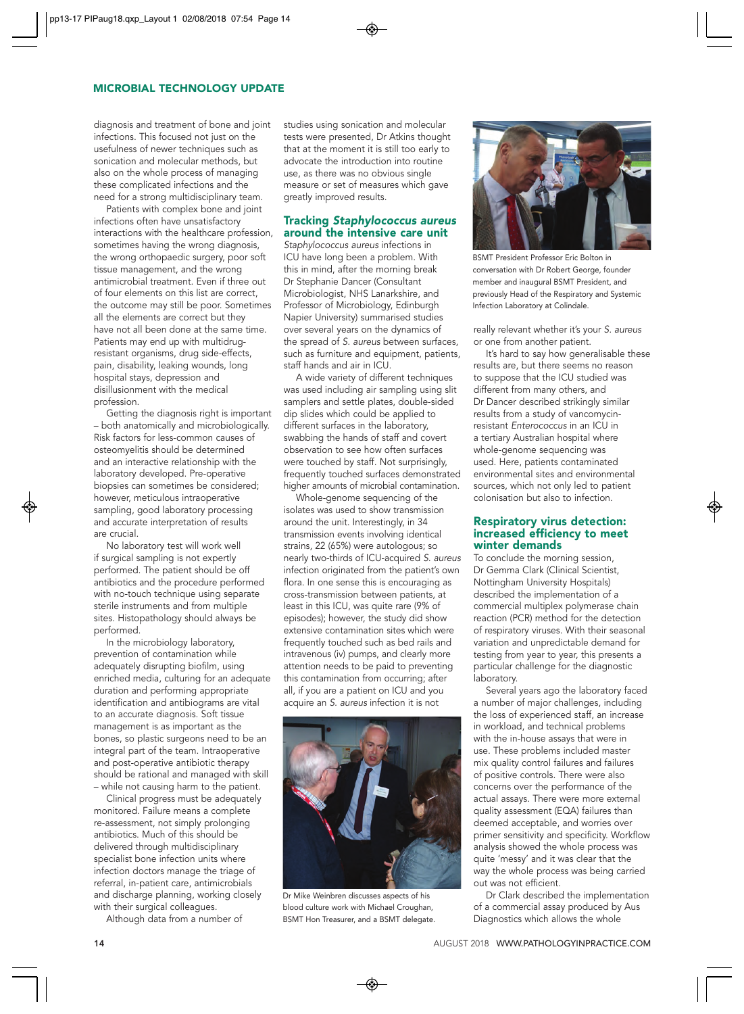# MICROBIAL TECHNOLOGY UPDATE

diagnosis and treatment of bone and joint infections. This focused not just on the usefulness of newer techniques such as sonication and molecular methods, but also on the whole process of managing these complicated infections and the need for a strong multidisciplinary team.

Patients with complex bone and joint infections often have unsatisfactory interactions with the healthcare profession, sometimes having the wrong diagnosis, the wrong orthopaedic surgery, poor soft tissue management, and the wrong antimicrobial treatment. Even if three out of four elements on this list are correct, the outcome may still be poor. Sometimes all the elements are correct but they have not all been done at the same time. Patients may end up with multidrugresistant organisms, drug side-effects, pain, disability, leaking wounds, long hospital stays, depression and disillusionment with the medical profession.

Getting the diagnosis right is important – both anatomically and microbiologically. Risk factors for less-common causes of osteomyelitis should be determined and an interactive relationship with the laboratory developed. Pre-operative biopsies can sometimes be considered; however, meticulous intraoperative sampling, good laboratory processing and accurate interpretation of results are crucial.

No laboratory test will work well if surgical sampling is not expertly performed. The patient should be off antibiotics and the procedure performed with no-touch technique using separate sterile instruments and from multiple sites. Histopathology should always be performed.

In the microbiology laboratory, prevention of contamination while adequately disrupting biofilm, using enriched media, culturing for an adequate duration and performing appropriate identification and antibiograms are vital to an accurate diagnosis. Soft tissue management is as important as the bones, so plastic surgeons need to be an integral part of the team. Intraoperative and post-operative antibiotic therapy should be rational and managed with skill – while not causing harm to the patient.

Clinical progress must be adequately monitored. Failure means a complete re-assessment, not simply prolonging antibiotics. Much of this should be delivered through multidisciplinary specialist bone infection units where infection doctors manage the triage of referral, in-patient care, antimicrobials and discharge planning, working closely with their surgical colleagues.

Although data from a number of

studies using sonication and molecular tests were presented, Dr Atkins thought that at the moment it is still too early to advocate the introduction into routine use, as there was no obvious single measure or set of measures which gave greatly improved results.

# Tracking Staphylococcus aureus around the intensive care unit

Staphylococcus aureus infections in ICU have long been a problem. With this in mind, after the morning break Dr Stephanie Dancer (Consultant Microbiologist, NHS Lanarkshire, and Professor of Microbiology, Edinburgh Napier University) summarised studies over several years on the dynamics of the spread of S. aureus between surfaces, such as furniture and equipment, patients, staff hands and air in ICU.

A wide variety of different techniques was used including air sampling using slit samplers and settle plates, double-sided dip slides which could be applied to different surfaces in the laboratory, swabbing the hands of staff and covert observation to see how often surfaces were touched by staff. Not surprisingly, frequently touched surfaces demonstrated higher amounts of microbial contamination.

Whole-genome sequencing of the isolates was used to show transmission around the unit. Interestingly, in 34 transmission events involving identical strains, 22 (65%) were autologous; so nearly two-thirds of ICU-acquired S. aureus infection originated from the patient's own flora. In one sense this is encouraging as cross-transmission between patients, at least in this ICU, was quite rare (9% of episodes); however, the study did show extensive contamination sites which were frequently touched such as bed rails and intravenous (iv) pumps, and clearly more attention needs to be paid to preventing this contamination from occurring; after all, if you are a patient on ICU and you acquire an S. aureus infection it is not



Dr Mike Weinbren discusses aspects of his blood culture work with Michael Croughan, BSMT Hon Treasurer, and a BSMT delegate.



BSMT President Professor Eric Bolton in conversation with Dr Robert George, founder member and inaugural BSMT President, and previously Head of the Respiratory and Systemic Infection Laboratory at Colindale.

really relevant whether it's your S. aureus or one from another patient.

It's hard to say how generalisable these results are, but there seems no reason to suppose that the ICU studied was different from many others, and Dr Dancer described strikingly similar results from a study of vancomycinresistant Enterococcus in an ICU in a tertiary Australian hospital where whole-genome sequencing was used. Here, patients contaminated environmental sites and environmental sources, which not only led to patient colonisation but also to infection.

## Respiratory virus detection: increased efficiency to meet winter demands

To conclude the morning session, Dr Gemma Clark (Clinical Scientist, Nottingham University Hospitals) described the implementation of a commercial multiplex polymerase chain reaction (PCR) method for the detection of respiratory viruses. With their seasonal variation and unpredictable demand for testing from year to year, this presents a particular challenge for the diagnostic laboratory.

Several years ago the laboratory faced a number of major challenges, including the loss of experienced staff, an increase in workload, and technical problems with the in-house assays that were in use. These problems included master mix quality control failures and failures of positive controls. There were also concerns over the performance of the actual assays. There were more external quality assessment (EQA) failures than deemed acceptable, and worries over primer sensitivity and specificity. Workflow analysis showed the whole process was quite 'messy' and it was clear that the way the whole process was being carried out was not efficient.

Dr Clark described the implementation of a commercial assay produced by Aus Diagnostics which allows the whole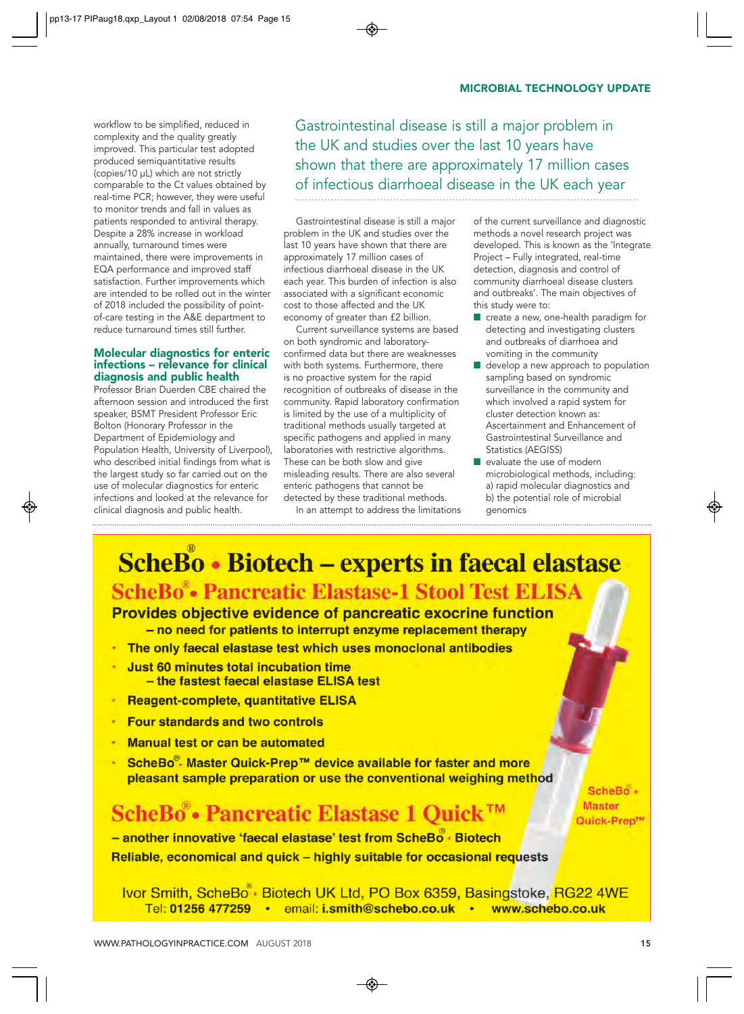workflow to be simplified, reduced in complexity and the quality greatly improved. This particular test adopted produced semiquantitative results (copies/10 μL) which are not strictly comparable to the Ct values obtained by real-time PCR; however, they were useful to monitor trends and fall in values as patients responded to antiviral therapy. Despite a 28% increase in workload annually, turnaround times were maintained, there were improvements in EQA performance and improved staff satisfaction. Further improvements which are intended to be rolled out in the winter of 2018 included the possibility of pointof-care testing in the A&E department to reduce turnaround times still further.

# Molecular diagnostics for enteric infections – relevance for clinical diagnosis and public health

Professor Brian Duerden CBE chaired the afternoon session and introduced the first speaker, BSMT President Professor Eric Bolton (Honorary Professor in the Department of Epidemiology and Population Health, University of Liverpool), who described initial findings from what is the largest study so far carried out on the use of molecular diagnostics for enteric infections and looked at the relevance for clinical diagnosis and public health.

Gastrointestinal disease is still a major problem in the UK and studies over the last 10 years have shown that there are approximately 17 million cases of infectious diarrhoeal disease in the UK each year

Gastrointestinal disease is still a major problem in the UK and studies over the last 10 years have shown that there are approximately 17 million cases of infectious diarrhoeal disease in the UK each year. This burden of infection is also associated with a significant economic cost to those affected and the UK economy of greater than £2 billion.

Current surveillance systems are based on both syndromic and laboratoryconfirmed data but there are weaknesses with both systems. Furthermore, there is no proactive system for the rapid recognition of outbreaks of disease in the community. Rapid laboratory confirmation is limited by the use of a multiplicity of traditional methods usually targeted at specific pathogens and applied in many laboratories with restrictive algorithms. These can be both slow and give misleading results. There are also several enteric pathogens that cannot be detected by these traditional methods.

In an attempt to address the limitations

of the current surveillance and diagnostic methods a novel research project was developed. This is known as the 'Integrate Project – Fully integrated, real-time detection, diagnosis and control of community diarrhoeal disease clusters and outbreaks'. The main objectives of this study were to:

- $\blacksquare$  create a new, one-health paradigm for detecting and investigating clusters and outbreaks of diarrhoea and vomiting in the community
- develop a new approach to population sampling based on syndromic surveillance in the community and which involved a rapid system for cluster detection known as: Ascertainment and Enhancement of Gastrointestinal Surveillance and Statistics (AEGISS)
- evaluate the use of modern microbiological methods, including: a) rapid molecular diagnostics and b) the potential role of microbial genomics

# **ScheBo** • Biotech – experts in faecal elastase

**ScheBo<sup>®</sup>• Pancreatic Elastase-1 Stool Test ELISA** 

Provides objective evidence of pancreatic exocrine function - no need for patients to interrupt enzyme replacement therapy

- The only faecal elastase test which uses monoclonal antibodies
- Just 60 minutes total incubation time - the fastest faecal elastase ELISA test
- Reagent-complete, quantitative ELISA
- **Four standards and two controls**
- **Manual test or can be automated**
- ScheBo® Master Quick-Prep™ device available for faster and more pleasant sample preparation or use the conventional weighing method

# ScheBo® • Pancreatic Elastase 1 Ouick™

- another innovative 'faecal elastase' test from ScheBo . Biotech Reliable, economical and quick - highly suitable for occasional requests

Ivor Smith, ScheBo Biotech UK Ltd, PO Box 6359, Basingstoke, RG22 4WE Tel: 01256 477259 email: i.smith@schebo.co.uk . www.schebo.co.uk

ScheBo<sup>.</sup> Master Quick-Prep<sup>TW</sup>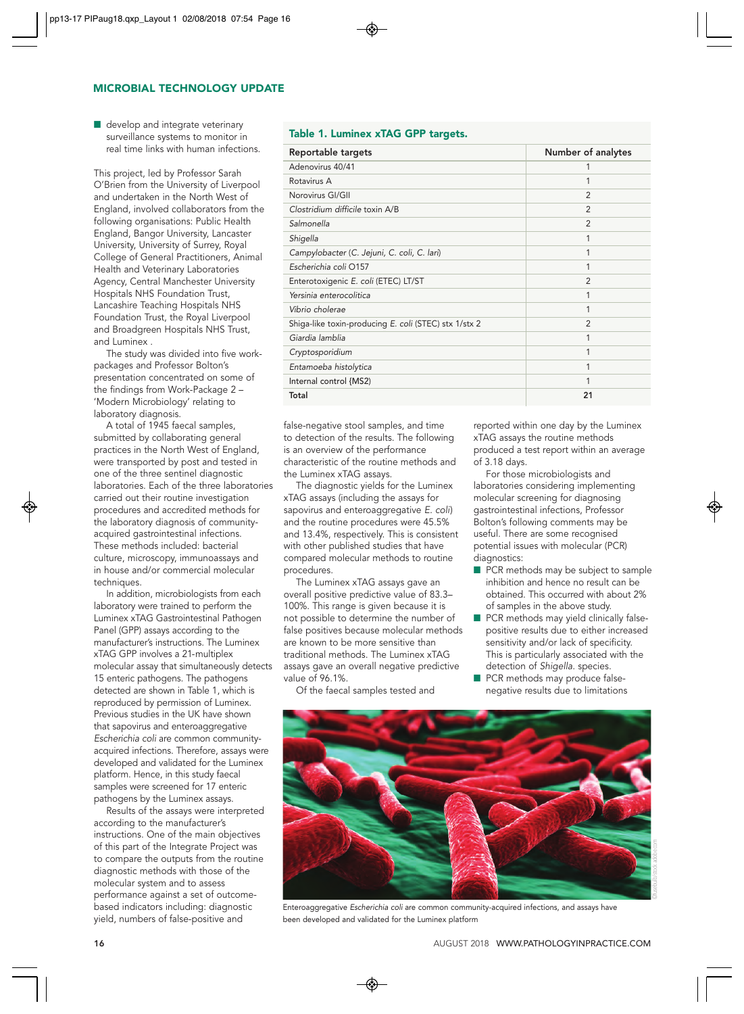# MICROBIAL TECHNOLOGY UPDATE

 $\blacksquare$  develop and integrate veterinary surveillance systems to monitor in real time links with human infections.

This project, led by Professor Sarah O'Brien from the University of Liverpool and undertaken in the North West of England, involved collaborators from the following organisations: Public Health England, Bangor University, Lancaster University, University of Surrey, Royal College of General Practitioners, Animal Health and Veterinary Laboratories Agency, Central Manchester University Hospitals NHS Foundation Trust, Lancashire Teaching Hospitals NHS Foundation Trust, the Royal Liverpool and Broadgreen Hospitals NHS Trust, and Luminex .

The study was divided into five workpackages and Professor Bolton's presentation concentrated on some of the findings from Work-Package 2 – 'Modern Microbiology' relating to laboratory diagnosis.

A total of 1945 faecal samples, submitted by collaborating general practices in the North West of England, were transported by post and tested in one of the three sentinel diagnostic laboratories. Each of the three laboratories carried out their routine investigation procedures and accredited methods for the laboratory diagnosis of communityacquired gastrointestinal infections. These methods included: bacterial culture, microscopy, immunoassays and in house and/or commercial molecular techniques.

In addition, microbiologists from each laboratory were trained to perform the Luminex xTAG Gastrointestinal Pathogen Panel (GPP) assays according to the manufacturer's instructions. The Luminex xTAG GPP involves a 21-multiplex molecular assay that simultaneously detects 15 enteric pathogens. The pathogens detected are shown in Table 1, which is reproduced by permission of Luminex. Previous studies in the UK have shown that sapovirus and enteroaggregative Escherichia coli are common communityacquired infections. Therefore, assays were developed and validated for the Luminex platform. Hence, in this study faecal samples were screened for 17 enteric pathogens by the Luminex assays.

Results of the assays were interpreted according to the manufacturer's instructions. One of the main objectives of this part of the Integrate Project was to compare the outputs from the routine diagnostic methods with those of the molecular system and to assess performance against a set of outcomebased indicators including: diagnostic yield, numbers of false-positive and

# Table 1. Luminex xTAG GPP targets.

| Reportable targets                                    | Number of analytes |
|-------------------------------------------------------|--------------------|
| Adenovirus 40/41                                      |                    |
| Rotavirus A                                           | 1                  |
| Norovirus GI/GII                                      | $\overline{2}$     |
| Clostridium difficile toxin A/B                       | $\overline{2}$     |
| Salmonella                                            | $\overline{2}$     |
| Shigella                                              | 1                  |
| Campylobacter (C. Jejuni, C. coli, C. lari)           | 1                  |
| Escherichia coli O157                                 | 1                  |
| Enterotoxigenic E. coli (ETEC) LT/ST                  | 2                  |
| Yersinia enterocolitica                               | 1                  |
| Vibrio cholerae                                       | 1                  |
| Shiga-like toxin-producing E. coli (STEC) stx 1/stx 2 | 2                  |
| Giardia lamblia                                       |                    |
| Cryptosporidium                                       |                    |
| Entamoeba histolytica                                 |                    |
| Internal control {MS2)                                |                    |
| Total                                                 | 21                 |

false-negative stool samples, and time to detection of the results. The following is an overview of the performance characteristic of the routine methods and the Luminex xTAG assays.

The diagnostic yields for the Luminex xTAG assays (including the assays for sapovirus and enteroaggregative E. coli) and the routine procedures were 45.5% and 13.4%, respectively. This is consistent with other published studies that have compared molecular methods to routine procedures.

The Luminex xTAG assays gave an overall positive predictive value of 83.3– 100%. This range is given because it is not possible to determine the number of false positives because molecular methods are known to be more sensitive than traditional methods. The Luminex xTAG assays gave an overall negative predictive value of 96.1%.

Of the faecal samples tested and

reported within one day by the Luminex xTAG assays the routine methods produced a test report within an average of 3.18 days.

For those microbiologists and laboratories considering implementing molecular screening for diagnosing gastrointestinal infections, Professor Bolton's following comments may be useful. There are some recognised potential issues with molecular (PCR) diagnostics:

- **n** PCR methods may be subject to sample inhibition and hence no result can be obtained. This occurred with about 2% of samples in the above study.
- PCR methods may yield clinically falsepositive results due to either increased sensitivity and/or lack of specificity. This is particularly associated with the detection of Shigella. species.
- PCR methods may produce falsenegative results due to limitations



Enteroaggregative Escherichia coli are common community-acquired infections, and assays have been developed and validated for the Luminex platform